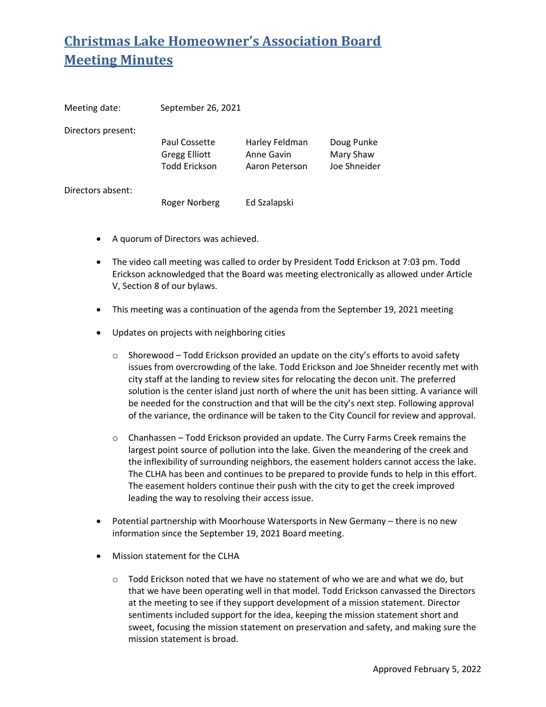## **Christmas Lake Homeowner's Association Board Meeting Minutes**

| Meeting date:      | September 26, 2021                    |                              |                         |
|--------------------|---------------------------------------|------------------------------|-------------------------|
| Directors present: |                                       |                              |                         |
|                    | Paul Cossette<br><b>Gregg Elliott</b> | Harley Feldman<br>Anne Gavin | Doug Punke<br>Mary Shaw |
|                    | <b>Todd Erickson</b>                  | Aaron Peterson               | Joe Shneider            |
| Directors absent:  |                                       |                              |                         |
|                    | Roger Norberg                         | Ed Szalapski                 |                         |

- A quorum of Directors was achieved.
- The video call meeting was called to order by President Todd Erickson at 7:03 pm. Todd Erickson acknowledged that the Board was meeting electronically as allowed under Article V, Section 8 of our bylaws.
- This meeting was a continuation of the agenda from the September 19, 2021 meeting
- Updates on projects with neighboring cities
	- $\circ$  Shorewood Todd Erickson provided an update on the city's efforts to avoid safety issues from overcrowding of the lake. Todd Erickson and Joe Shneider recently met with city staff at the landing to review sites for relocating the decon unit. The preferred solution is the center island just north of where the unit has been sitting. A variance will be needed for the construction and that will be the city's next step. Following approval of the variance, the ordinance will be taken to the City Council for review and approval.
	- $\circ$  Chanhassen Todd Erickson provided an update. The Curry Farms Creek remains the largest point source of pollution into the lake. Given the meandering of the creek and the inflexibility of surrounding neighbors, the easement holders cannot access the lake. The CLHA has been and continues to be prepared to provide funds to help in this effort. The easement holders continue their push with the city to get the creek improved leading the way to resolving their access issue.
- Potential partnership with Moorhouse Watersports in New Germany there is no new information since the September 19, 2021 Board meeting.
- Mission statement for the CLHA
	- $\circ$  Todd Erickson noted that we have no statement of who we are and what we do, but that we have been operating well in that model. Todd Erickson canvassed the Directors at the meeting to see if they support development of a mission statement. Director sentiments included support for the idea, keeping the mission statement short and sweet, focusing the mission statement on preservation and safety, and making sure the mission statement is broad.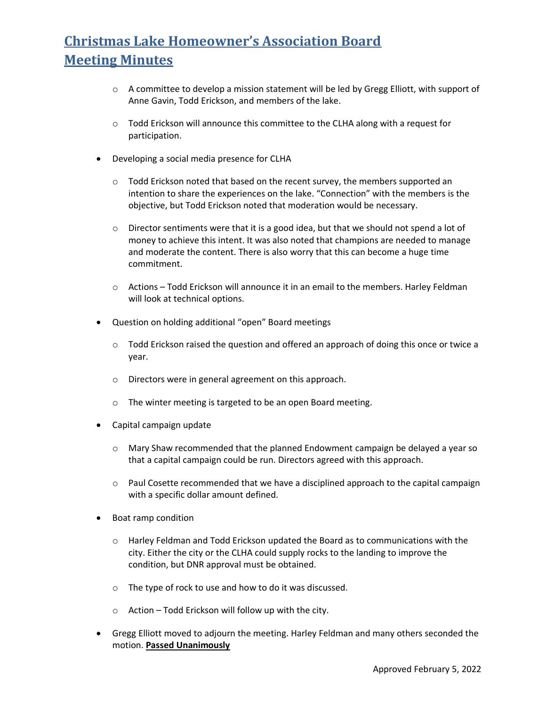## **Christmas Lake Homeowner's Association Board Meeting Minutes**

- $\circ$  A committee to develop a mission statement will be led by Gregg Elliott, with support of Anne Gavin, Todd Erickson, and members of the lake.
- $\circ$  Todd Erickson will announce this committee to the CLHA along with a request for participation.
- Developing a social media presence for CLHA
	- o Todd Erickson noted that based on the recent survey, the members supported an intention to share the experiences on the lake. "Connection" with the members is the objective, but Todd Erickson noted that moderation would be necessary.
	- $\circ$  Director sentiments were that it is a good idea, but that we should not spend a lot of money to achieve this intent. It was also noted that champions are needed to manage and moderate the content. There is also worry that this can become a huge time commitment.
	- $\circ$  Actions Todd Erickson will announce it in an email to the members. Harley Feldman will look at technical options.
- Question on holding additional "open" Board meetings
	- $\circ$  Todd Erickson raised the question and offered an approach of doing this once or twice a year.
	- o Directors were in general agreement on this approach.
	- o The winter meeting is targeted to be an open Board meeting.
- Capital campaign update
	- $\circ$  Mary Shaw recommended that the planned Endowment campaign be delayed a year so that a capital campaign could be run. Directors agreed with this approach.
	- $\circ$  Paul Cosette recommended that we have a disciplined approach to the capital campaign with a specific dollar amount defined.
- Boat ramp condition
	- $\circ$  Harley Feldman and Todd Erickson updated the Board as to communications with the city. Either the city or the CLHA could supply rocks to the landing to improve the condition, but DNR approval must be obtained.
	- o The type of rock to use and how to do it was discussed.
	- o Action Todd Erickson will follow up with the city.
- Gregg Elliott moved to adjourn the meeting. Harley Feldman and many others seconded the motion. **Passed Unanimously**